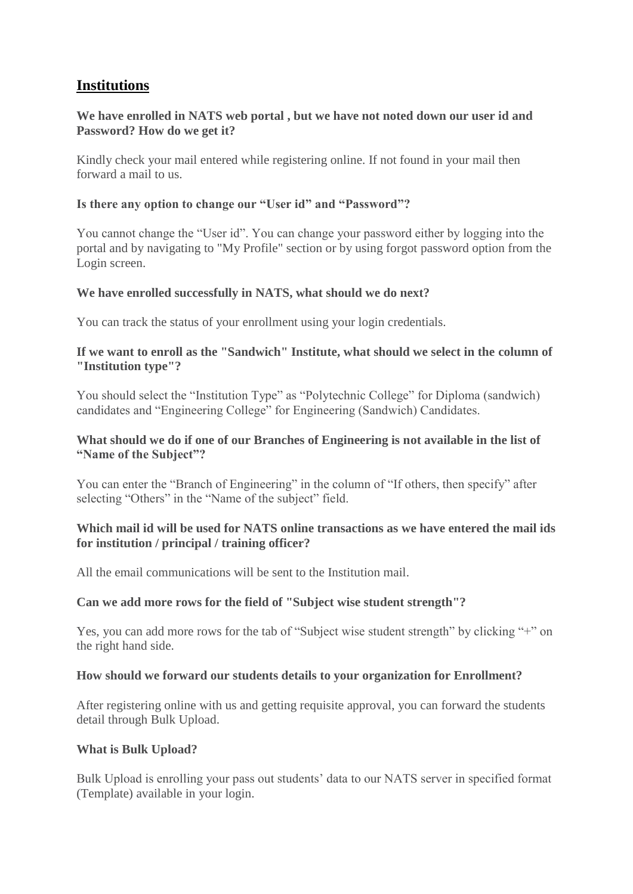# **[Institutions](http://mhrdnats.gov.in/faqs#collapse3)**

# **We have enrolled in NATS web portal , but we have not noted down our user id and Password? How do we get it?**

Kindly check your mail entered while registering online. If not found in your mail then forward a mail to us.

### **Is there any option to change our "User id" and "Password"?**

You cannot change the "User id". You can change your password either by logging into the portal and by navigating to "My Profile" section or by using forgot password option from the Login screen.

### **We have enrolled successfully in NATS, what should we do next?**

You can track the status of your enrollment using your login credentials.

# **If we want to enroll as the "Sandwich" Institute, what should we select in the column of "Institution type"?**

You should select the "Institution Type" as "Polytechnic College" for Diploma (sandwich) candidates and "Engineering College" for Engineering (Sandwich) Candidates.

# **What should we do if one of our Branches of Engineering is not available in the list of "Name of the Subject"?**

You can enter the "Branch of Engineering" in the column of "If others, then specify" after selecting "Others" in the "Name of the subject" field.

# **Which mail id will be used for NATS online transactions as we have entered the mail ids for institution / principal / training officer?**

All the email communications will be sent to the Institution mail.

# **Can we add more rows for the field of "Subject wise student strength"?**

Yes, you can add more rows for the tab of "Subject wise student strength" by clicking "+" on the right hand side.

### **How should we forward our students details to your organization for Enrollment?**

After registering online with us and getting requisite approval, you can forward the students detail through Bulk Upload.

### **What is Bulk Upload?**

Bulk Upload is enrolling your pass out students' data to our NATS server in specified format (Template) available in your login.